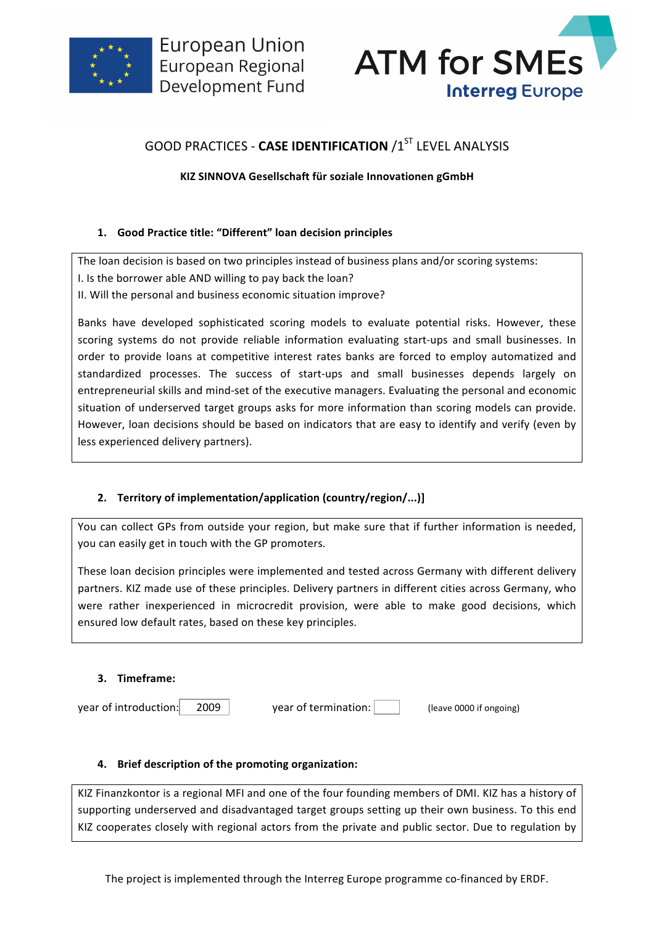



# GOOD PRACTICES - **CASE IDENTIFICATION** /1<sup>ST</sup> LEVEL ANALYSIS

## **KIZ SINNOVA Gesellschaft für soziale Innovationen gGmbH**

### **1. Good Practice title: "Different" loan decision principles**

The loan decision is based on two principles instead of business plans and/or scoring systems: I. Is the borrower able AND willing to pay back the loan? II. Will the personal and business economic situation improve?

Banks have developed sophisticated scoring models to evaluate potential risks. However, these scoring systems do not provide reliable information evaluating start-ups and small businesses. In order to provide loans at competitive interest rates banks are forced to employ automatized and standardized processes. The success of start-ups and small businesses depends largely on entrepreneurial skills and mind-set of the executive managers. Evaluating the personal and economic situation of underserved target groups asks for more information than scoring models can provide. However, loan decisions should be based on indicators that are easy to identify and verify (even by less experienced delivery partners).

# 2. **Territory of implementation/application (country/region/...)]**

You can collect GPs from outside your region, but make sure that if further information is needed, you can easily get in touch with the GP promoters.

These loan decision principles were implemented and tested across Germany with different delivery partners. KIZ made use of these principles. Delivery partners in different cities across Germany, who were rather inexperienced in microcredit provision, were able to make good decisions, which ensured low default rates, based on these key principles.

### **3. Timeframe:**

year of introduction: 2009 vear of termination: (I leave 0000 if ongoing)

### **4. Brief description of the promoting organization:**

KIZ Finanzkontor is a regional MFI and one of the four founding members of DMI. KIZ has a history of supporting underserved and disadvantaged target groups setting up their own business. To this end KIZ cooperates closely with regional actors from the private and public sector. Due to regulation by

The project is implemented through the Interreg Europe programme co-financed by ERDF.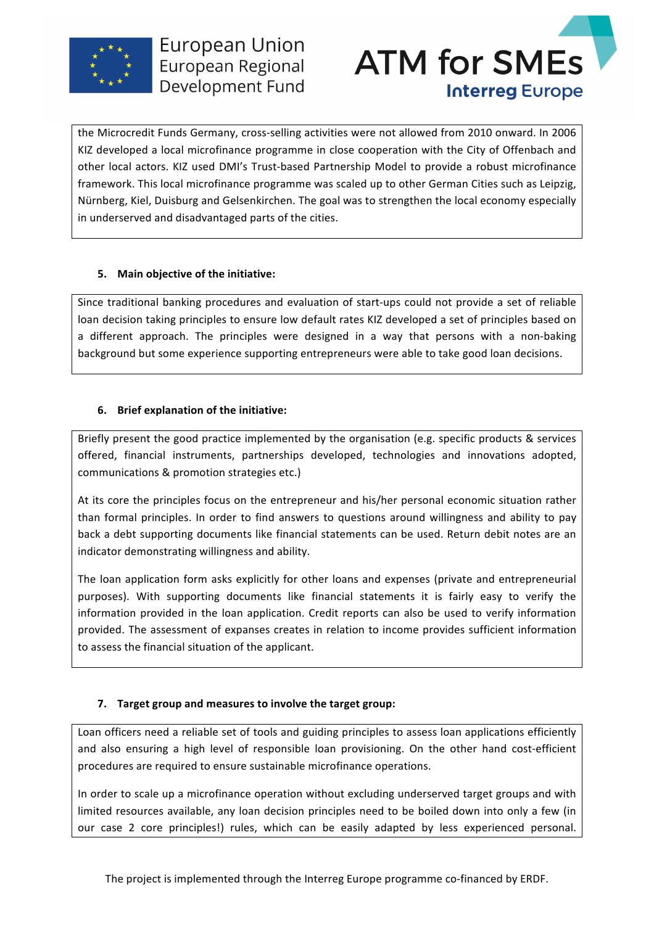



the Microcredit Funds Germany, cross-selling activities were not allowed from 2010 onward. In 2006 KIZ developed a local microfinance programme in close cooperation with the City of Offenbach and other local actors. KIZ used DMI's Trust-based Partnership Model to provide a robust microfinance framework. This local microfinance programme was scaled up to other German Cities such as Leipzig, Nürnberg, Kiel, Duisburg and Gelsenkirchen. The goal was to strengthen the local economy especially in underserved and disadvantaged parts of the cities.

### **5. Main obiective of the initiative:**

Since traditional banking procedures and evaluation of start-ups could not provide a set of reliable loan decision taking principles to ensure low default rates KIZ developed a set of principles based on a different approach. The principles were designed in a way that persons with a non-baking background but some experience supporting entrepreneurs were able to take good loan decisions.

### **6.** Brief explanation of the initiative:

Briefly present the good practice implemented by the organisation (e.g. specific products & services offered, financial instruments, partnerships developed, technologies and innovations adopted, communications & promotion strategies etc.)

At its core the principles focus on the entrepreneur and his/her personal economic situation rather than formal principles. In order to find answers to questions around willingness and ability to pay back a debt supporting documents like financial statements can be used. Return debit notes are an indicator demonstrating willingness and ability.

The loan application form asks explicitly for other loans and expenses (private and entrepreneurial purposes). With supporting documents like financial statements it is fairly easy to verify the information provided in the loan application. Credit reports can also be used to verify information provided. The assessment of expanses creates in relation to income provides sufficient information to assess the financial situation of the applicant.

# **7. Target group and measures to involve the target group:**

Loan officers need a reliable set of tools and guiding principles to assess loan applications efficiently and also ensuring a high level of responsible loan provisioning. On the other hand cost-efficient procedures are required to ensure sustainable microfinance operations.

In order to scale up a microfinance operation without excluding underserved target groups and with limited resources available, any loan decision principles need to be boiled down into only a few (in our case 2 core principles!) rules, which can be easily adapted by less experienced personal.